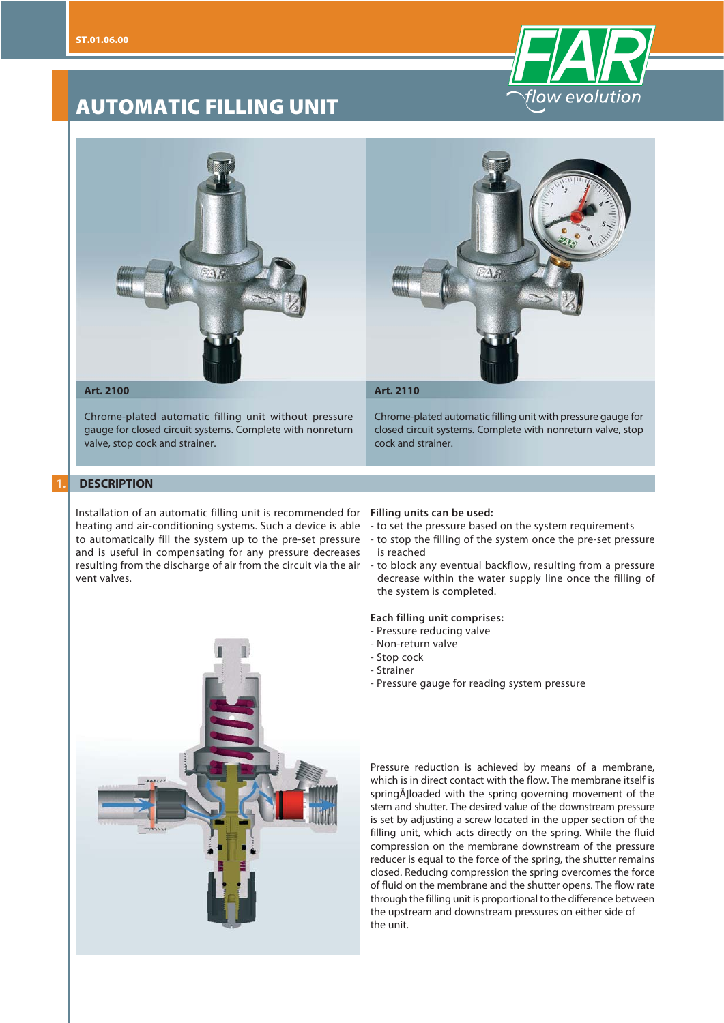

# **AUTOMATIC FILLING UNIT**



Chrome-plated automatic filling unit without pressure gauge for closed circuit systems. Complete with nonreturn valve, stop cock and strainer.

# Chrome-plated automatic filling unit with pressure gauge for closed circuit systems. Complete with nonreturn valve, stop cock and strainer.

### **1. DESCRIPTION**

Installation of an automatic filling unit is recommended for **Filling units can be used:** heating and air-conditioning systems. Such a device is able - to set the pressure based on the system requirements to automatically fill the system up to the pre-set pressure and is useful in compensating for any pressure decreases resulting from the discharge of air from the circuit via the air - to block any eventual backflow, resulting from a pressure vent valves.



- 
- to stop the filling of the system once the pre-set pressure is reached
- decrease within the water supply line once the filling of the system is completed.

### **Each filling unit comprises:**

- Pressure reducing valve
- Non-return valve
- Stop cock
- Strainer
- Pressure gauge for reading system pressure

Pressure reduction is achieved by means of a membrane, which is in direct contact with the flow. The membrane itself is springÅ]loaded with the spring governing movement of the stem and shutter. The desired value of the downstream pressure is set by adjusting a screw located in the upper section of the filling unit, which acts directly on the spring. While the fluid compression on the membrane downstream of the pressure reducer is equal to the force of the spring, the shutter remains closed. Reducing compression the spring overcomes the force of fluid on the membrane and the shutter opens. The flow rate through the filling unit is proportional to the difference between the upstream and downstream pressures on either side of the unit.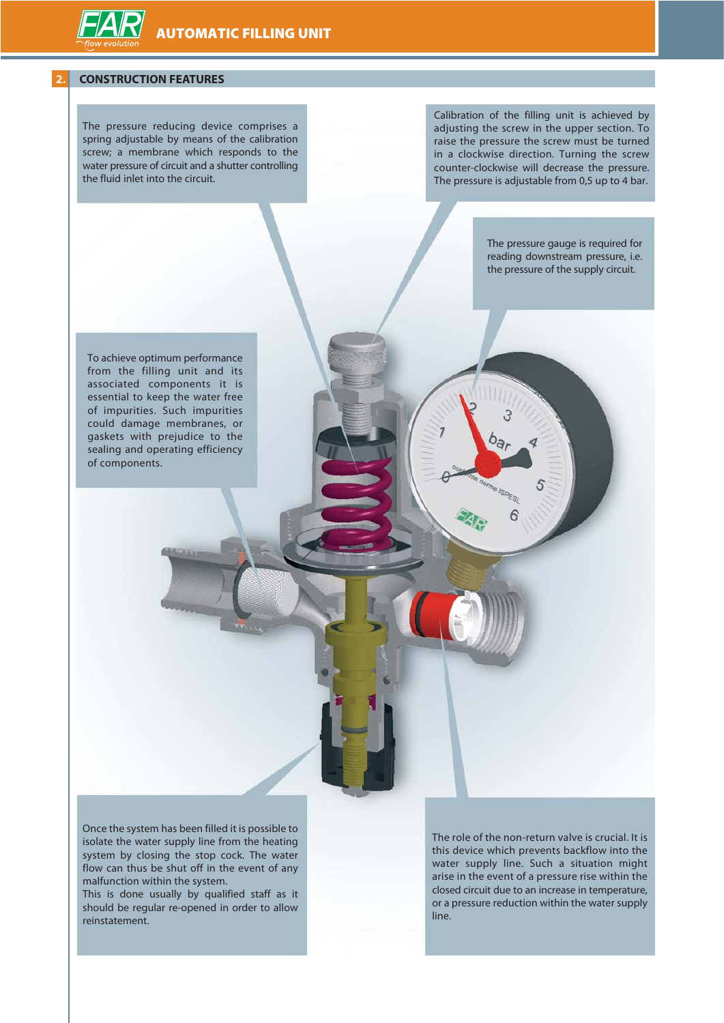#### **2. CONSTRUCTION FEATURES**

The pressure reducing device comprises a spring adjustable by means of the calibration screw; a membrane which responds to the water pressure of circuit and a shutter controlling the fluid inlet into the circuit.

Calibration of the filling unit is achieved by adjusting the screw in the upper section. To raise the pressure the screw must be turned in a clockwise direction. Turning the screw counter-clockwise will decrease the pressure. The pressure is adjustable from 0,5 up to 4 bar.

> The pressure gauge is required for reading downstream pressure, i.e. the pressure of the supply circuit.

To achieve optimum performance from the filling unit and its associated components it is essential to keep the water free of impurities. Such impurities could damage membranes, or gaskets with prejudice to the sealing and operating efficiency of components.

Once the system has been filled it is possible to isolate the water supply line from the heating system by closing the stop cock. The water flow can thus be shut off in the event of any malfunction within the system.

This is done usually by qualified staff as it should be regular re-opened in order to allow reinstatement.

The role of the non-return valve is crucial. It is this device which prevents backflow into the water supply line. Such a situation might arise in the event of a pressure rise within the closed circuit due to an increase in temperature, or a pressure reduction within the water supply line.

6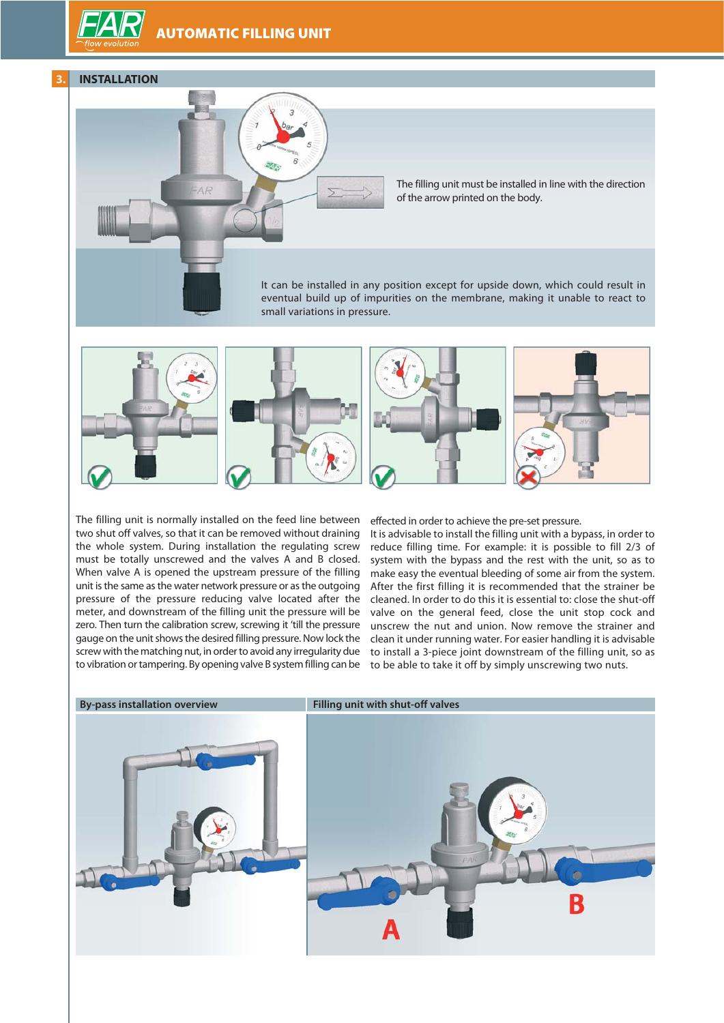# **AUTOMATIC FILLING UNIT**







The filling unit must be installed in line with the direction of the arrow printed on the body.

It can be installed in any position except for upside down, which could result in eventual build up of impurities on the membrane, making it unable to react to small variations in pressure.



The filling unit is normally installed on the feed line between two shut off valves, so that it can be removed without draining the whole system. During installation the regulating screw must be totally unscrewed and the valves A and B closed. When valve A is opened the upstream pressure of the filling unit is the same as the water network pressure or as the outgoing pressure of the pressure reducing valve located after the meter, and downstream of the filling unit the pressure will be zero. Then turn the calibration screw, screwing it 'till the pressure gauge on the unit shows the desired filling pressure. Now lock the screw with the matching nut, in order to avoid any irregularity due to vibration or tampering. By opening valve B system filling can be

effected in order to achieve the pre-set pressure.

It is advisable to install the filling unit with a bypass, in order to reduce filling time. For example: it is possible to fill 2/3 of system with the bypass and the rest with the unit, so as to make easy the eventual bleeding of some air from the system. After the first filling it is recommended that the strainer be cleaned. In order to do this it is essential to: close the shut-off valve on the general feed, close the unit stop cock and unscrew the nut and union. Now remove the strainer and clean it under running water. For easier handling it is advisable to install a 3-piece joint downstream of the filling unit, so as to be able to take it off by simply unscrewing two nuts.